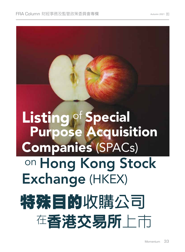# Listing of Special Purpose Acquisition Companies (SPACs) on Hong Kong Stock Exchange (HKEX) 特殊目的收購公司 在香港交易所上市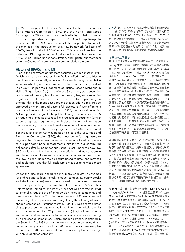In March this year, the Financial Secretary directed the Securities<br>and Futures Commission (SFC) and the Hong Kong Stock n March this year, the Financial Secretary directed the Securities Exchange (HKEX) to investigate the feasibility of listing special purpose acquisition companies (SPACs) in Hong Kong. In September 2021, HKEX issued a consultation paper (CP) to consult the market on the introduction of a new framework for listing of SPACs, based on the US SPAC model. This article will review the history of SPAC regime in the US, discuss the main features of the SPAC listing regime under consultation, and update our members as to the Chamber's views and concerns in relation thereto.

## **History of SPACs in the US**

Prior to the enactment of first state securities law in Kansas in 1911 (which law was promoted by John Dolley), offering of securities in the US was not statutorily regulated. As a result, many "speculative schemes which [had] no more basis other than so many feet of 'blue sky'" (as per the judgement of Justice Joseph McKenna in Hall v. Geiger-Jones Co.) were offered. Since then, state securities law is termed blue sky law. Under the blue sky law, state securities regulators would conduct a merit review before approving an offering; this is the merit-based regime that an offering may not be approved on merit ground despite full disclosure if such offering is not in the interests of the investors. In 1933, the national Securities Act was passed to regulate the public offering of securities in the US by requiring a listed applicant to file a registration document (similar to our prospectus regime) and to disclose all relevant information that is necessary for investors to make an informed decision whether to invest based on their own judgement. In 1934, the national Securities Exchange Act was passed to create the Securities and Exchange Commission (SEC), the most powerful regulator, to regulate the US securities market and to require listed companies to file periodic financial statements (similar to our continuing obligations after listing under our Listing Rules). Under the new law, SEC would not review the merit of any offering and would approve an offering upon full disclosure of all information as required under the law. In short, under the disclosure-based regime, one may sell bad apples provided that full disclosure is made as to how bad these apples are.

Under the disclosure-based regime, many speculative schemes (of and relating to blank check (cheque) companies, penny stocks and shell companies) were offered causing significant losses to investors, particularly retail investors. In response, US Securities Enforcement Remedies and Penny Stock Act was enacted in 1990 to, inter alia, regulate the offering by blank cheque companies and penny stocks. Section 7 of the Securities Act 1933 was amended mandating SEC to prescribe rules regulating the offering of blank cheque companies. Pursuant thereto, Rule 419 was enacted (inter alia) to prescribe the requirements for (a) information disclosure, (b) escrow arrangement for IPO proceeds, and (c) right of rescission by and refund to shareholders under certain circumstances for offering by blank cheque companies. A blank cheque company is defined in the Securities Act 1933 as 'any development stage company that is issuing a penny stock … and that (A) has no specific business plan or purpose; or (B) has indicated that its business plan is to merge with an unidentified company'.

**△△**年3月,財政司司長指示證券及期貨事務監察委員<br> ̄ ̄ ̄ 會(SFC)和香港交易所(港交所)研究特殊目 的收購公司(SPAC)在香港上市的可行性。2021年9 月,港交所刊發諮詢文件,以就根據美國SPAC模式引 入SPAC上市的新框架向市場進行諮詢。本文將回顧美 國SPAC制度的歷史,討論諮詢中的SPAC上市制度的主 要特點,並向成員及時通報商會對此的觀點和疑慮。

## **美國**SPAC**的歷史**

在1911年堪薩斯州頒佈首部州立證券法(該法由 John Dolley 推動)之前,美國的證券發行未受到法律的監 管。因此,許多「行險僥倖的投機伎倆,其交易的基礎 不過是幾英呎的藍天」(根據 Joseph McKenna 法官在 Hall 對 Geiger-Jones Co. 一案的判詞)被發售。自此, 州證券法被稱為藍天法。根據藍天法,各州證券監管機 構在批准發售前會進行價值評核;該制度基於價值評 審,即儘管有充分的披露,但若該發售不符合投資者利 益,則基於價值不得批准發售。1933年,美國通過《國 家證券法》,對公開發售證券進行監管,要求上市申請 人提交登記文件(類似於我們的招股章程制度),並披 露所有必要的相關資料,以便投資者根據自身判斷作出 是否投資的明智決定。1934年,美國通過《證券交易 法》,設立證券交易委員會(證交會),作為最大權力 的監管機構,負責監管美國證券市場,並要求上市公司 定期提交財務報表(類似於我們根據《上市規則》上市 後的持續責任)。根據新的法律,證交會將不評核任何 發售的價值,並在法律規定的所有資料獲充分披露後批 准發售。簡而言之,在以披露為基礎的制度下,只要充 分披露蘋果有多壞,便可出售壞蘋果。

在以披露為基礎的制度下,許多投機計劃(包括空頭支 票公司、仙股和空殼公司)得以發售,給投資者(特別 是散戶投資者)造成巨大損失。有鑒於此,美國於1990 年頒佈《證券執行救濟及仙股法案》,以監管包括空頭 支票公司和仙股的發售。1933年《證券法》第7條被修 訂,授權證交會規定空頭支票公司的發售規則。第419 條據此頒佈,規定的要求包括:(a) 資料披露;(b) 首次 公開招股所得款項的託管安排;及(c)在某些情況下對空 頭支票公司發售的股東撤銷權和退款權。在1933年《證 券法》中,空頭支票公司是指『任何處於發展階段發售 仙股的公司…且 (A) 沒有具體的商業計劃或目的;或 (B) 已表明其商業計劃是與一家不明公司合併』。

於1993年或前後,為應對第419條,Early Bird Capital Inc 的創始人David Nussbaum 提出並推廣 SPAC,並由 Graubard Miller 的合夥人 David Miller 提供諮詢(兩人 均為1980 年畢業於紐約大學法學院的律師)。SPAC 不 是仙股公司(因此嚴格而言不是空頭支票公司),但在 各方面均符合第 419 條。在首次提出時乃至 2003 年或 2009年之前,SPAC並不受歡迎,有以下事實為證:(a) 2009年僅一間 SPAC 發售 (籌集 3,600 萬美元) (對比 2021年 527 間 SPAC 發售 (籌集1,444.53 億美元)); (b) 最初,只有不太知名的發起人、保薦人和包銷商參與 其中;及 (c) SPAC 最初在場外交易,未在國家證券交易 所上市。高盛當時對 SPAC 設有嚴格的政策直到最近, 但現時卻宣稱2020年為SPAC年,高盛不僅是積極的保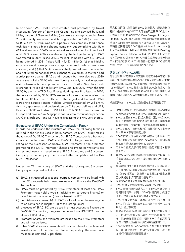In or about 1993, SPACs were created and promoted by David Nussbaum, founder of Early Bird Capital Inc and advised by David Miller, partner of Graubard Miller, (both were attorneys attending New York University law school and both graduated in 1980) in reaction to Rule 419. A SPAC was not a penny stock company (and hence technically is not a blank cheque company) but complying with Rule 419 in all respects. SPACs were not well received when first introduced until 2003 or even 2009 as evidenced by the fact (a) that only 1 SPAC was offered in 2009 (raised US\$36 million) (compared with 527 SPACs being offered in 2021 (raised US\$144,453 million)), (b) that initially, only less well-known promoters, sponsors and underwriters were involved, and (c) that SPACs were initially traded over the counter and not listed on national stock exchanges. Goldman Sachs then had a strict policy against SPACs until recently but now declared 2020 as the year of the SPAC with itself being not only an active sponsor and underwriter but also promoter of its own SPACs. New York Stock Exchange (NYSE) did not list any SPAC until May 2017 when the first SPAC by the name TPG Pace Energy Holdings was first listed. In 2020, the funds raised by SPAC IPOs exceeded those that were raised by traditional IPOs in the US. Hitherto, the largest and landmark SPAC is Pershing Square Tontine Holding Limited promoted by William A. Ackman, sponsored and underwritten by Citigroup, Jeffries and UBS, listed on NYSE and raised US\$4 billion. This SPAC trend is seen in Europe and now in Asia. Singapore has issued a consultation paper on SPAC in March 2021 and will have its first listing of SPAC very shortly.

### **Structure of SPAC Under the Consultation Paper**

In order to understand the structure of SPAC, the following terms as defined in the CP are used in here, namely, De-SPAC Target means the target of De-SPAC Transaction, De-SPAC Transaction is a business combination between SPAC and De-SPAC Target leading to the listing of the Successor Company, SPAC Promoter is the promoter promoting the SPAC, Promoter Shares and Promoter Warrants are shares and warrants issued to the SPAC Promoter; and Successor Company is the company that is listed after completion of the De-SPAC Transaction.

Under the CP, the listing of SPAC and the subsequent Successor Company is proposed as follows:

- (a) SPAC is structured as a special purpose company to be listed with the IPO proceeds being used exclusively to finance the De-SPAC Transaction;
- (b) SPAC must be promoted by SPAC Promoters; at least one SPAC Promoter must hold a type 6 (advising on corporate finance) or type 9 (asset management) licence issued by SFC;
- (c) units (shares and warrants) of SPAC are listed under the new regime to be contained in chapter 18B of the Listing Rules;
- (d) proceeds of SPAC IPO are placed in a trust account to finance the De-SPAC Transaction; the gross fund raised in a SPAC IPO must be at least HK\$1 billion;
- (e) Promoter Shares and Warrants are issued to the SPAC Promoters and will not be listed;
- (f) other SPAC shares and warrants will only be offered to professional investors and will be listed and traded separately; the issue price must be at least HK\$10 per share;

薦人和包銷商,亦是自身 SPAC 的發起人。紐約證券交 易所(紐交所)在 2017年5月之前不接受 SPAC 上市, 而首家上市的 SPAC 為 TPG Pace Energy Holdings。 2020 年,SPAC 首次公開招股募集的資金超過美國傳 統首次公開招股募集的資金。迄今為止,最大規模、 具有里程碑意義的 SPAC 是由 William A. Ackman 發 起,由花旗集團、Jeffries和瑞銀保薦和包銷的Pershing Square Tontine Holding Limited, 該SPAC於紐交所上 市,並籌集 40 億美元。SPAC 先後在歐洲和亞洲流行起 來。新加坡已於2021年3月發佈一份關於SPAC的諮詢 文件,並將在不久後迎來首個SPAC上市。

#### **諮詢文件中的**SPAC**架構**

為了理解SPAC的架構,本文使用諮詢文件中界定的以下 用語,即SPAC併購目標指SPAC併購交易的目標,SPAC 併購交易指SPAC與SPAC併購目標之間促成繼承公司上 市的業務合併,SPAC發起人指發起SPAC的發起人,發 起人股份和發起人權證指向SPAC發起人發行的股份和 權證;繼承公司指SPAC併購交易完成後上市的公司。

根據諮詢文件,SPAC上市及後續繼承公司建議如下:

- (a) SPAC作為擬上市的特殊目的公司構建,首次公開招 股所得款項完全用於為SPAC併購交易提供資金;
- (b) SPAC 必須由 SPAC 發起人發起;至少一名SPAC 發起人必須持有證監會頒發的第 6 類(就機構融 資提供意見)或第9類(提供資產管理)牌照;
- (c) SPAC的單位(股份和權證)根據將列入《上市規 則》第18B章的新制度上市;
- (d) SPAC 首次公開招股所得款項存入信託賬戶,為 SPAC併購交易提供資金;SPAC 首次公開招股籌 集的資金總額必須至少為10億港元;
- (e) 向 SPAC 發起人發行的發起人股份和權證,將不 會上市;
- (f) 其他SPAC股份和權證將僅提供給專業投資者,並 將各自獨立上市及交易;發行價必須至少為每股10 港元;
- (g) 最終確定SPAC併購交易的條款後,必須發佈公 告;任何SPAC併購交易必須包括獨立第三方投資 者(PIPE 投資者)的投資,由此產生的資金必須 至少構成繼承公司預期市值的25%;
- (h) 完成SPAC併購交易的條件包括繼承公司上市;
- (i) SPAC併購交易必須獲得SPAC獨立股東批准;
- (j) SPAC 目標可能是關連人士,而 SPAC併購交易可 能是關連交易;如是,SPAC併購交易必須遵守 《上市規則》第14A章的關連交易規定;
- (k) SPAC併購交易完成,繼承公司的股份將上市,而 SPAC將除牌;繼承公司的上市須完全遵守《上市 規則》的上市規定;
- (l) 如果在上市後 24 個月內未發佈 SPAC併購交易公 告,且SPAC併購交易未能在上市後 36 個月內完 成,除非最後期限延長,否則 SPAC 將被清盤和 除牌,首次公開招股所得款項將退還股東;及
- (m) SPAC 股東可在 (a) SPAC 發起人發生任何重大變 動; (b) 其投票反對任何SPAC併購交易; 及 / 或 (c)任何期限延長時贖回股份。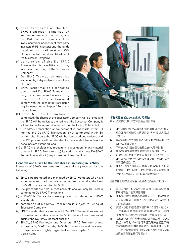- (g) once the terms of the De-SPAC Transaction is finalised, an announcement must be made; any De-SPAC Transaction must include investment from independent third party investors (PIPE Investors) and the funds therefrom must constitute at least 25% of the expected market capitalisation of the Successor Company;
- (h) completion of the De-SPAC Transaction is conditional upon, inter alia, the listing of the Successor Company;
- (i) De-SPAC Transaction must be approved by independent shareholders of SPAC;
- (j) SPAC Target may be a connected person and De-SPAC Transaction may be a connected transaction; if so, De-SPAC Transaction must comply with the connected transaction requirements under chapter 14A of the Listing Rules;
- (k) once De-SPAC Transaction is completed, the shares of the Successor Company will be listed and the SPAC will be delisted; the listing of the Successor Company is subject to the listing requirements under the Listing Rules in full;
- (l) if De-SPAC Transaction announcement is not made within 24 months and De-SPAC Transaction is not completed within 36 months after listing, the SPAC will be liquidated and delisted and the IPO proceeds will be refunded to the shareholders unless the deadlines are extended; and
- (m) a SPAC shareholder may redeem its shares upon (a) any material change in SPAC Promoters, (b) its voting against any De-SPAC Transaction, and/or (c) any extension of any deadline.

## **Benefits and Risks to the Investors in Investing in SPACs**

Investors of SPACs are benefited from and are protected by the following:

- (a) SPACs are promoted and managed by SPAC Promoters who have experience and track records in finding and executing the best De-SPAC Transactions for the SPACs;
- (b) IPO proceeds are held in trust accounts and will only be used in completing De-SPAC Transactions;
- (c) all De-SPAC Transactions are approved by independent SPAC shareholders;
- (d) completion of De-SPAC Transaction is subject to listing of Successor Company;
- (e) SPAC shareholders are refunded if De-SPAC Transactions are not completed within deadlines or the SPAC shareholders have voted against the De-SPAC Transactions; and
- (f) SPACs, SPAC Promoters and Directors, SPAC Promoter shares and warrants, SPAC Targets, De-SPAC Transactions and Successor Companies are highly regulated under chapter 18B of the Listing Rules.



### **投資者投資於**SPAC**的裨益及風險**

SPAC投資者可從以下方面受益並受到保護:

- (a) SPAC由在為SPAC尋找和進行最佳SPAC併購交 易方面具有經驗及往績記錄的SPAC發起人發起 及管理;
- (b) 首次公開招股所得款項存入信託賬戶和只用於完 成SPAC併購交易;
- (c) 所有SPAC併購交易均由獨立SPAC股東批准;
- (d) SPAC併購交易的完成取決於繼承公司的上市;
- (e) 如果SPAC併購交易未在截止日期前完成,或 SPAC股東投票反對SPAC併購交易,則SPAC股 東將獲得退款;及
- (f) SPAC、SPAC發起人及董事、SPAC發起人股份 和權證、SPAC目標、SPAC併購交易及繼承公司 均受《上市規則》第18B章的嚴格監管。

儘管存在上述裨益及保護,投資者仍面對以下風險:

- (a) 首次上市時,SPAC為空殼公司,除首次公開招 股所得現金外並無其他資產;
- (b) SPAC目標在上市時尚未確定;因此,SPAC的成 功及隨後繼承公司的上市完全取決於SPAC發起 人的商業智慧;
- (c) 發起人股份和權證按面值向SPAC發起人發行, 上市後將即時對投資者產生攤薄效應,但向 SPAC發起人發行股份和權證的上限為30%;及
- (d) 如果SPAC併購交易未在截止日期前完成,SPAC 發起人除了對SPAC進行清盤及除牌並退還所有 首次公開招股所得款項淨額外,無需承擔任何責 任,而投資者負責支付與SPAC上市和完成SPAC 併購交易有關的費用和開支。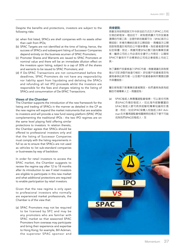Despite the benefits and protections, investors are subject to the following risks:

- (a) when first listed, SPACs are shell companies with no assets other than cash from IPOs;
- (b) SPAC Targets are not identified at the time of listing; hence, the success of SPACs and subsequent listing of Successor Companies depend entirely on the business acumen of SPAC Promoters;
- (c) Promoter Shares and Warrants are issued to SPAC Promoters at nominal value and there will be an immediate dilution effect on the investors upon listing, subject to a cap of 30% of the shares and warrants to be issued to SPAC Promoters; and
- (d) If De-SPAC Transactions are not consummated before the deadlines, SPAC Promoters do not have any responsibility nor liability apart from liquidating and delisting the SPACs and refunding all net IPO proceeds whilst the investors are responsible for the fees and charges relating to the listing of SPACs and consummation of De-SPAC Transactions.

## **Views of the Chamber**

The Chamber supports the introduction of the new framework for the listing and trading of SPACs in the manner as detailed in the CP as the new regime will expand the market instruments that are available to investors and will provide a new fund raising platform (SPAC IPOs) complementing the traditional IPOs - the two IPO regimes are on

the same level playing field offering similar protections to investors. In relation thereto, the Chamber agrees that SPACs should be offered to professional investors only and that the listing of Successor Companies must comply with the listing requirements in full so as to ensure that SPACs are not used as vehicles to list sub-standard companies or businesses by way of backdoor.

In order for retail investors to access the SPAC market, the Chamber suggests to review the regime say after 12 to 18 months after its introduction to see if retail investors are eligible to participate in this new market and what additional protections are required to enable participation by retail investors.

Given that the new regime is only open to professional investors who normally are experienced market professionals, the Chamber is of the view that:

(a) SPAC Promoters may not be required to be licensed by SFC and may be any promoters who are familiar with SPAC market so that seasoned SPAC Promoters from overseas may participate and bring their experience and expertise to Hong Kong; for example, Bill Ackman, the superstar SPAC sponsor and

#### **商會觀點**

商會支持按照諮詢文件中詳述的方式引入SPAC上市和 交易的新框架,理由如下:新制度將擴大可供投資者 選擇的市場工具,並提供新的融資平台(SPAC首次公 開招股)來補充傳統的首次公開招股 — 兩種首次公開 招股制度處於相同的公平競爭環境,為投資者提供類 似的保護。對此,商會同意SPAC應只面向專業投資 者,繼承公司的上市必須完全遵守上市規定,以確保 SPAC不會用作不合標準的公司或企業借殼上市的工 具。

為了讓散戶投資者進入SPAC市場,商會建議在該制度 推出12至18個月後進行檢討,評估散戶投資者是否有 資格參與此新市場,以及散戶投資者參與所需要的額 外保護措施。

鑒於新制度只對專業投資者開放,他們通常為具有經 驗的市場專業人士,商會認為:

(a) SPAC發起人無需獲證監會發牌,可以是任何熟 悉SPAC市場的發起人,如此海外經驗豐富的 SPAC發起人便可將其經驗和專業知識用於香 港;例如,知名SPAC保薦人和發起人Bill Ackman在未獲得證監會相關牌照的情況下便不可能 成為我們SPAC的發起人;及